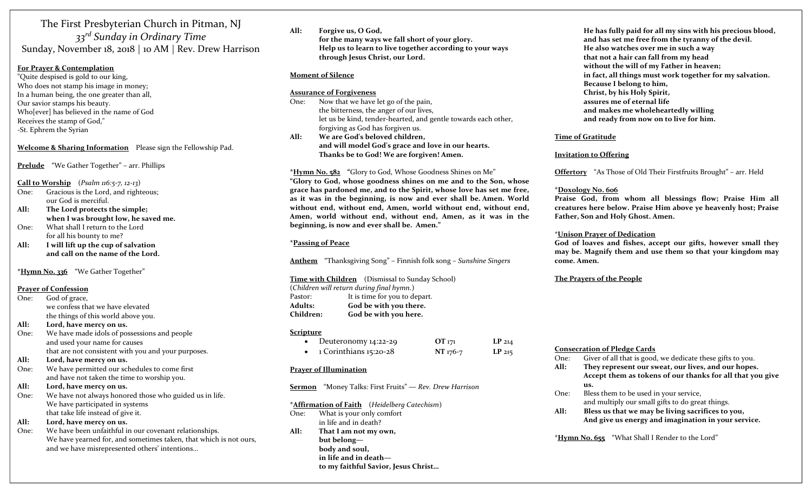The First Presbyterian Church in Pitman, NJ 33<sup>rd</sup> Sunday in Ordinary Time Sunday, November 18, 2018 | 10 AM | Rev. Drew Harrison

#### For Prayer & Contemplation

"Quite despised is gold to our king, Who does not stamp his image in money; In a human being, the one greater than all, Our savior stamps his beauty. Who[ever] has believed in the name of God Receives the stamp of God," -St. Ephrem the Syrian

#### Welcome & Sharing Information Please sign the Fellowship Pad.

Prelude "We Gather Together" – arr. Phillips

#### Call to Worship  $(Psalm 116:5-7, 12-13)$

- One: Gracious is the Lord, and righteous; our God is merciful.
- All: The Lord protects the simple; when I was brought low, he saved me. One: What shall I return to the Lord
- for all his bounty to me?
- All: I will lift up the cup of salvation and call on the name of the Lord.

\*Hymn No. 336 "We Gather Together"

#### Prayer of Confession

- One: God of grace, we confess that we have elevated the things of this world above you.
- All: Lord, have mercy on us.
- One: We have made idols of possessions and people and used your name for causes that are not consistent with you and your purposes.
- All: Lord, have mercy on us.
- One: We have permitted our schedules to come first and have not taken the time to worship you.
- All: Lord, have mercy on us.
- One: We have not always honored those who guided us in life. We have participated in systems that take life instead of give it.
- All: Lord, have mercy on us.
- One: We have been unfaithful in our covenant relationships. We have yearned for, and sometimes taken, that which is not ours, and we have misrepresented others' intentions…

All: Forgive us, O God, for the many ways we fall short of your glory. Help us to learn to live together according to your ways through Jesus Christ, our Lord.

#### Moment of Silence

#### Assurance of Forgiveness

One: Now that we have let go of the pain, the bitterness, the anger of our lives, let us be kind, tender-hearted, and gentle towards each other, forgiving as God has forgiven us.

All: We are God's beloved children, and will model God's grace and love in our hearts. Thanks be to God! We are forgiven! Amen.

#### \*Hymn No. 582 "Glory to God, Whose Goodness Shines on Me"

"Glory to God, whose goodness shines on me and to the Son, whose grace has pardoned me, and to the Spirit, whose love has set me free, as it was in the beginning, is now and ever shall be. Amen. World without end, without end, Amen, world without end, without end, Amen, world without end, without end, Amen, as it was in the beginning, is now and ever shall be. Amen."

#### \*Passing of Peace

Anthem "Thanksgiving Song" – Finnish folk song – Sunshine Singers

#### Time with Children (Dismissal to Sunday School)

(Children will return during final hymn.) Pastor: It is time for you to depart. Adults: God be with you there.

Children: God be with you here.

#### **Scripture**

| Deuteronomy 14:22-29   | $OT_{171}$ | LP <sub>214</sub> |
|------------------------|------------|-------------------|
| 1 Corinthians 15:20-28 | NT 176-7   | $LP$ 215          |

#### Prayer of Illumination

Sermon "Money Talks: First Fruits" — Rev. Drew Harrison

#### \*Affirmation of Faith (Heidelberg Catechism)

- One: What is your only comfort in life and in death?
- All: That I am not my own, but belong body and soul, in life and in death to my faithful Savior, Jesus Christ…

He has fully paid for all my sins with his precious blood, and has set me free from the tyranny of the devil. He also watches over me in such a way that not a hair can fall from my head without the will of my Father in heaven; in fact, all things must work together for my salvation. Because I belong to him, Christ, by his Holy Spirit, assures me of eternal life and makes me wholeheartedly willing and ready from now on to live for him.

#### Time of Gratitude

#### Invitation to Offering

Offertory "As Those of Old Their Firstfruits Brought" – arr. Held

#### \*Doxology No. 606

Praise God, from whom all blessings flow; Praise Him all creatures here below. Praise Him above ye heavenly host; Praise Father, Son and Holy Ghost. Amen.

#### \*Unison Prayer of Dedication

God of loaves and fishes, accept our gifts, however small they may be. Magnify them and use them so that your kingdom may come. Amen.

#### The Prayers of the People

#### Consecration of Pledge Cards

| Giver of all that is good, we dedicate these gifts to you.<br>One: |  |
|--------------------------------------------------------------------|--|
|--------------------------------------------------------------------|--|

- All: They represent our sweat, our lives, and our hopes. Accept them as tokens of our thanks for all that you give us.
- One: Bless them to be used in your service, and multiply our small gifts to do great things.
- All: Bless us that we may be living sacrifices to you, And give us energy and imagination in your service.

\*Hymn No. 655 "What Shall I Render to the Lord"